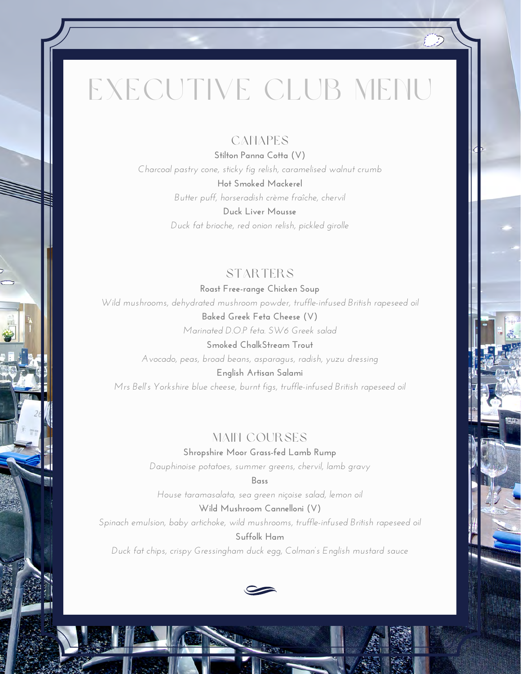# EXECUTIVE CLUB MENU

#### **CANAPES**

**Stilton Panna Cotta (V)** *Charcoal pastry cone, sticky fig relish, caramelised walnut crumb* **Hot Smoked Mackerel** *Butter puff, horseradish crème fraîche, chervil* **Duck Liver Mousse**

*Duck fat brioche, red onion relish, pickled girolle*

#### STARTERS

**Roast Free-range Chicken Soup** *Wild mushrooms, dehydrated mushroom powder, truffle-infused British rapeseed oil* **Baked Greek Feta Cheese (V)**

*Marinated D.O.P feta. SW6 Greek salad*

**Smoked ChalkStream Trout** *Avocado, peas, broad beans, asparagus, radish, yuzu dressing*

**English Artisan Salami** *Mrs Bell's Yorkshire blue cheese, burnt figs, truffle-infused British rapeseed oil*

#### MAIN COURSES

**Shropshire Moor Grass-fed Lamb Rump**

*Dauphinoise potatoes, summer greens, chervil, lamb gravy*

**Bass**

*House taramasalata, sea green niçoise salad, lemon oil*

**Wild Mushroom Cannelloni (V)** *Spinach emulsion, baby artichoke, wild mushrooms, truffle-infused British rapeseed oil* **Suffolk Ham** *Duck fat chips, crispy Gressingham duck egg, Colman's English mustard sauce*